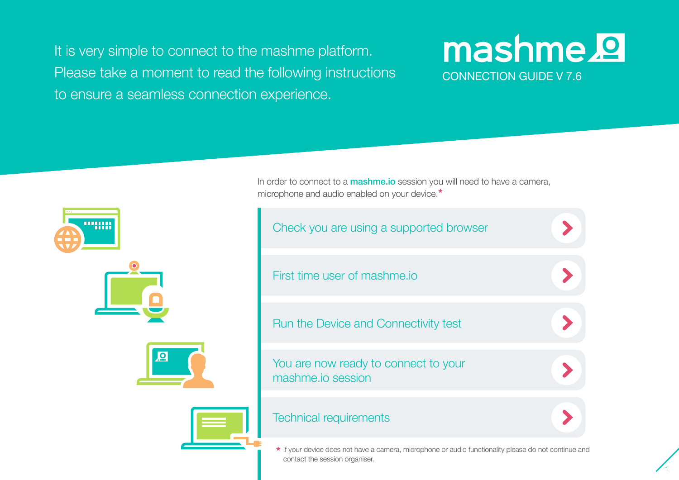It is very simple to connect to the mashme platform. Please take a moment to read the following instructions to ensure a seamless connection experience.

## mashme.<sup>9</sup> CONNECTION GUIDE V 7.6

1



In order to connect to a **mashme.io** session you will need to have a camera, microphone and audio enabled on your device.**\***



If your device does not have a camera, microphone or audio functionality please do not continue and **\*** contact the session organiser.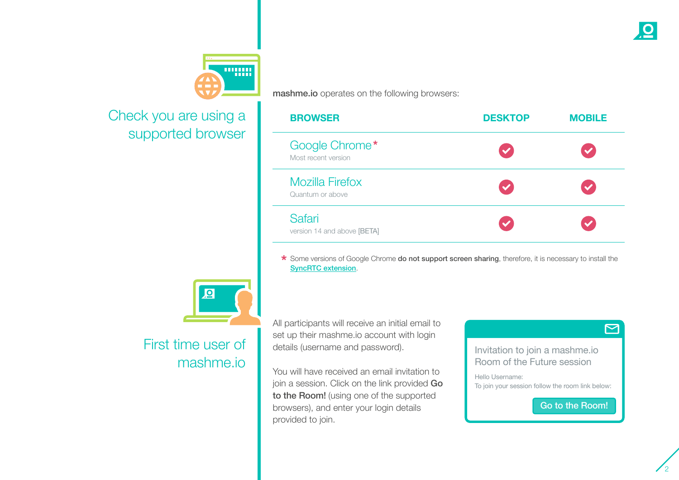

## <span id="page-1-0"></span>Check you are using a supported browser



## First time user of mashme.io

mashme.io operates on the following browsers:

| <b>BROWSER</b>                             | <b>DESKTOP</b>       | <b>MOBILE</b>        |
|--------------------------------------------|----------------------|----------------------|
| Google Chrome*<br>Most recent version      | $\checkmark$         | $\blacktriangledown$ |
| <b>Mozilla Firefox</b><br>Quantum or above | $\blacktriangledown$ | $\mathscr{L}$        |
| Safari<br>version 14 and above [BETA]      |                      |                      |

\* Some versions of Google Chrome **do not support screen sharing**, therefore, it is necessary to install the [SyncRTC extension](https://chrome.google.com/webstore/detail/syncrtc-extension/cfhhepogpdjejpknpibhjcdibljmiooh).

All participants will receive an initial email to set up their mashme.io account with login details (username and password).

You will have received an email invitation to join a session. Click on the link provided Go to the Room! (using one of the supported browsers), and enter your login details provided to join.



Room of the Future session

Hello Username: To join your session follow the room link below:

Go to the Room!

 $\Box$ 

2

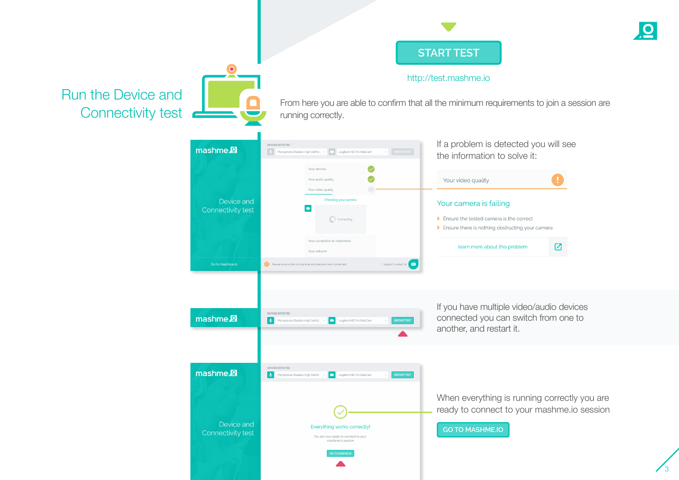

3

http://test.mashme.io

<span id="page-2-0"></span>Run the Device and Connectivity test  $\bullet$ 

From here you are able to confirm that all the minimum requirements to join a session are running correctly.

| mashme <sup>2</sup>                                    | DEVICES DETECTED<br><b>RESTART TEST</b><br>Microphone (Realtek High Definit ~<br>Logitech HD Pro WebCam                                                                                                                                 | If a problem is detected you will see<br>the information to solve it:                                                                       |
|--------------------------------------------------------|-----------------------------------------------------------------------------------------------------------------------------------------------------------------------------------------------------------------------------------------|---------------------------------------------------------------------------------------------------------------------------------------------|
|                                                        | Your devices<br>Your audio quality<br>Your video quality                                                                                                                                                                                | Your video quality                                                                                                                          |
| Device and<br>Connectivity test                        | Checking your camera<br>$\blacksquare$<br>$\frac{1}{2}$ <sup>W/</sup> Connecting                                                                                                                                                        | Your camera is failing<br>$\blacktriangleright$ Ensure the tested camera is the correct<br>Ensure there is nothing obstructing your cameral |
|                                                        | Your connection to mashme.io<br>Your network                                                                                                                                                                                            | ⊠<br>learn more about this problem                                                                                                          |
| Go to mashme.io<br>mashme <sup>2</sup>                 | Support contact $\triangleright$<br>Please ensure the microphone and webcam are connected.<br>DEVICES DETECTED<br><b>RESTART TEST</b><br>$\ddot{\Phi}$<br>Microphone (Realtek High Definit<br>Logitech HD Pro WebCam<br>$\blacksquare$  | If you have multiple video/audio devices<br>connected you can switch from one to<br>another, and restart it.                                |
| mashme <sup>2</sup><br>Device and<br>Connectivity test | DEVICES DETECTED<br><b>RESTART TEST</b><br>Microphone (Realtek High Definit<br><b>I</b><br>Logitech HD Pro WebCam<br>Everything works correctly!<br>You are now ready to connect to your<br>mashme.io session<br><b>GO TO MASHME.IO</b> | When everything is running correctly you are<br>ready to connect to your mashme.io session<br><b>GO TO MASHME.IO</b>                        |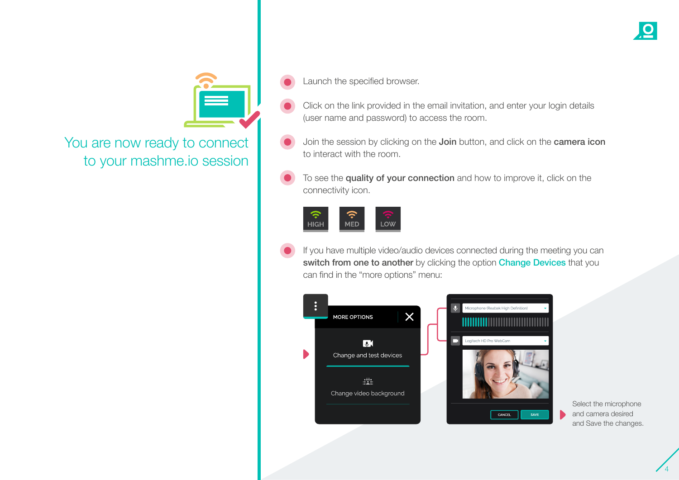

<span id="page-3-0"></span>You are now ready to connect to your mashme.io session

- Click on the link provided in the email invitation, and enter your login details (user name and password) to access the room.
- Join the session by clicking on the Join button, and click on the camera icon to interact with the room.
- To see the quality of your connection and how to improve it, click on the connectivity icon.



If you have multiple video/audio devices connected during the meeting you can switch from one to another by clicking the option Change Devices that you can find in the "more options" menu:



Select the microphone and camera desired and Save the changes.

4

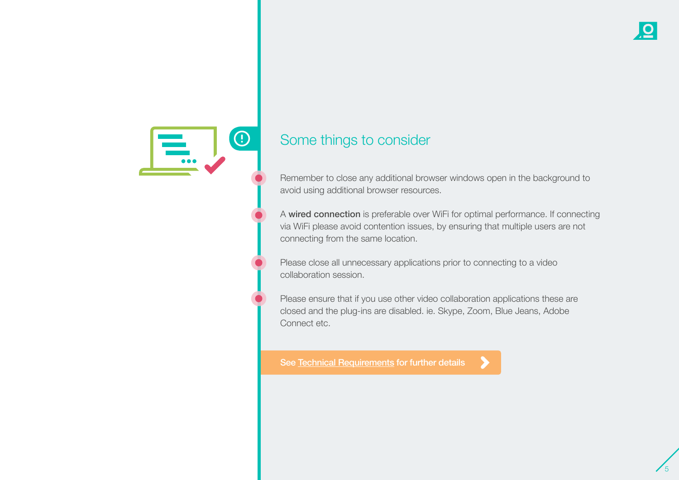

## Some things to consider

Remember to close any additional browser windows open in the background to avoid using additional browser resources.

A wired connection is preferable over WiFi for optimal performance. If connecting via WiFi please avoid contention issues, by ensuring that multiple users are not connecting from the same location.

Please close all unnecessary applications prior to connecting to a video collaboration session.

Please ensure that if you use other video collaboration applications these are closed and the plug-ins are disabled. ie. Skype, Zoom, Blue Jeans, Adobe Connect etc.

[See Technical Requirements for further details](#page-5-0)

5